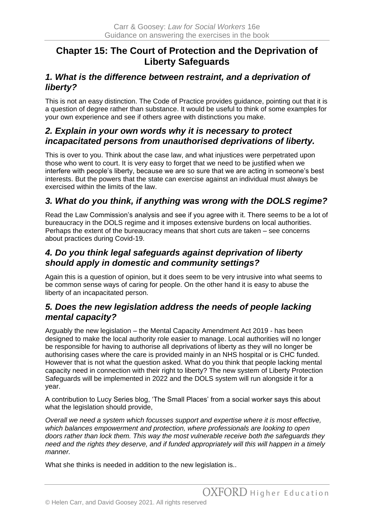# **Chapter 15: The Court of Protection and the Deprivation of Liberty Safeguards**

#### *1. What is the difference between restraint, and a deprivation of liberty?*

This is not an easy distinction. The Code of Practice provides guidance, pointing out that it is a question of degree rather than substance. It would be useful to think of some examples for your own experience and see if others agree with distinctions you make.

#### *2. Explain in your own words why it is necessary to protect incapacitated persons from unauthorised deprivations of liberty.*

This is over to you. Think about the case law, and what injustices were perpetrated upon those who went to court. It is very easy to forget that we need to be justified when we interfere with people's liberty, because we are so sure that we are acting in someone's best interests. But the powers that the state can exercise against an individual must always be exercised within the limits of the law.

# *3. What do you think, if anything was wrong with the DOLS regime?*

Read the Law Commission's analysis and see if you agree with it. There seems to be a lot of bureaucracy in the DOLS regime and it imposes extensive burdens on local authorities. Perhaps the extent of the bureaucracy means that short cuts are taken – see concerns about practices during Covid-19.

## *4. Do you think legal safeguards against deprivation of liberty should apply in domestic and community settings?*

Again this is a question of opinion, but it does seem to be very intrusive into what seems to be common sense ways of caring for people. On the other hand it is easy to abuse the liberty of an incapacitated person.

## *5. Does the new legislation address the needs of people lacking mental capacity?*

Arguably the new legislation – the Mental Capacity Amendment Act 2019 - has been designed to make the local authority role easier to manage. Local authorities will no longer be responsible for having to authorise all deprivations of liberty as they will no longer be authorising cases where the care is provided mainly in an NHS hospital or is CHC funded. However that is not what the question asked. What do you think that people lacking mental capacity need in connection with their right to liberty? The new system of Liberty Protection Safeguards will be implemented in 2022 and the DOLS system will run alongside it for a year.

A contribution to Lucy Series blog, 'The Small Places' from a social worker says this about what the legislation should provide,

*Overall we need a system which focusses support and expertise where it is most effective, which balances empowerment and protection, where professionals are looking to open doors rather than lock them. This way the most vulnerable receive both the safeguards they need and the rights they deserve, and if funded appropriately will this will happen in a timely manner.*

What she thinks is needed in addition to the new legislation is..